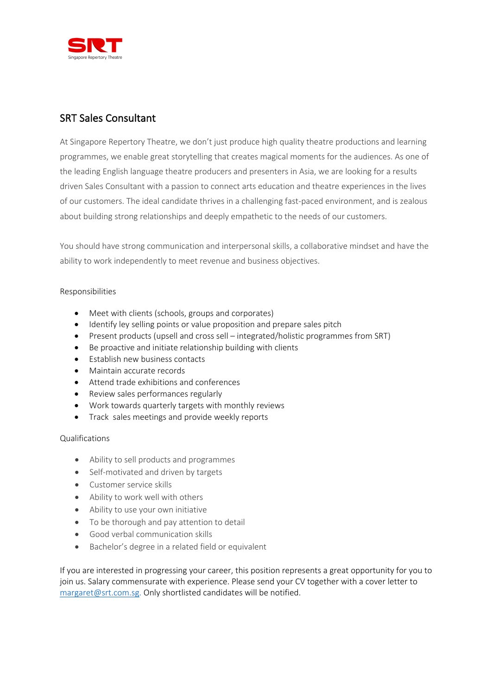

## SRT Sales Consultant

At Singapore Repertory Theatre, we don't just produce high quality theatre productions and learning programmes, we enable great storytelling that creates magical moments for the audiences. As one of the leading English language theatre producers and presenters in Asia, we are looking for a results driven Sales Consultant with a passion to connect arts education and theatre experiences in the lives of our customers. The ideal candidate thrives in a challenging fast-paced environment, and is zealous about building strong relationships and deeply empathetic to the needs of our customers.

You should have strong communication and interpersonal skills, a collaborative mindset and have the ability to work independently to meet revenue and business objectives.

## Responsibilities

- Meet with clients (schools, groups and corporates)
- Identify ley selling points or value proposition and prepare sales pitch
- Present products (upsell and cross sell integrated/holistic programmes from SRT)
- Be proactive and initiate relationship building with clients
- Establish new business contacts
- Maintain accurate records
- Attend trade exhibitions and conferences
- Review sales performances regularly
- Work towards quarterly targets with monthly reviews
- Track sales meetings and provide weekly reports

## Qualifications

- Ability to sell products and programmes
- Self-motivated and driven by targets
- Customer service skills
- Ability to work well with others
- Ability to use your own initiative
- To be thorough and pay attention to detail
- Good verbal communication skills
- Bachelor's degree in a related field or equivalent

If you are interested in progressing your career, this position represents a great opportunity for you to join us. Salary commensurate with experience. Please send your CV together with a cover letter to margaret@srt.com.sg. Only shortlisted candidates will be notified.